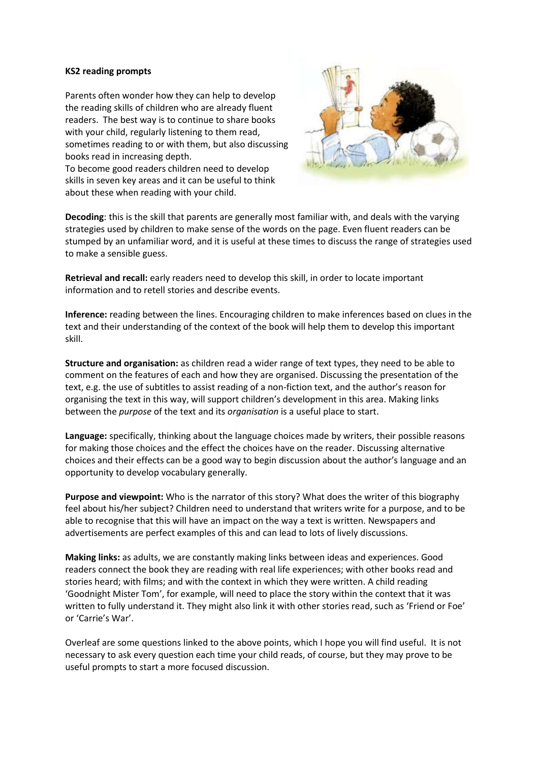## **KS2 reading prompts**

Parents often wonder how they can help to develop the reading skills of children who are already fluent readers. The best way is to continue to share books with your child, regularly listening to them read, sometimes reading to or with them, but also discussing books read in increasing depth.

To become good readers children need to develop skills in seven key areas and it can be useful to think about these when reading with your child.



**Decoding**: this is the skill that parents are generally most familiar with, and deals with the varying strategies used by children to make sense of the words on the page. Even fluent readers can be stumped by an unfamiliar word, and it is useful at these times to discuss the range of strategies used to make a sensible guess.

**Retrieval and recall:** early readers need to develop this skill, in order to locate important information and to retell stories and describe events.

**Inference:** reading between the lines. Encouraging children to make inferences based on clues in the text and their understanding of the context of the book will help them to develop this important skill.

**Structure and organisation:** as children read a wider range of text types, they need to be able to comment on the features of each and how they are organised. Discussing the presentation of the text, e.g. the use of subtitles to assist reading of a non-fiction text, and the author's reason for organising the text in this way, will support children's development in this area. Making links between the *purpose* of the text and its *organisation* is a useful place to start.

**Language:** specifically, thinking about the language choices made by writers, their possible reasons for making those choices and the effect the choices have on the reader. Discussing alternative choices and their effects can be a good way to begin discussion about the author's language and an opportunity to develop vocabulary generally.

**Purpose and viewpoint:** Who is the narrator of this story? What does the writer of this biography feel about his/her subject? Children need to understand that writers write for a purpose, and to be able to recognise that this will have an impact on the way a text is written. Newspapers and advertisements are perfect examples of this and can lead to lots of lively discussions.

**Making links:** as adults, we are constantly making links between ideas and experiences. Good readers connect the book they are reading with real life experiences; with other books read and stories heard; with films; and with the context in which they were written. A child reading 'Goodnight Mister Tom', for example, will need to place the story within the context that it was written to fully understand it. They might also link it with other stories read, such as 'Friend or Foe' or 'Carrie's War'.

Overleaf are some questions linked to the above points, which I hope you will find useful. It is not necessary to ask every question each time your child reads, of course, but they may prove to be useful prompts to start a more focused discussion.